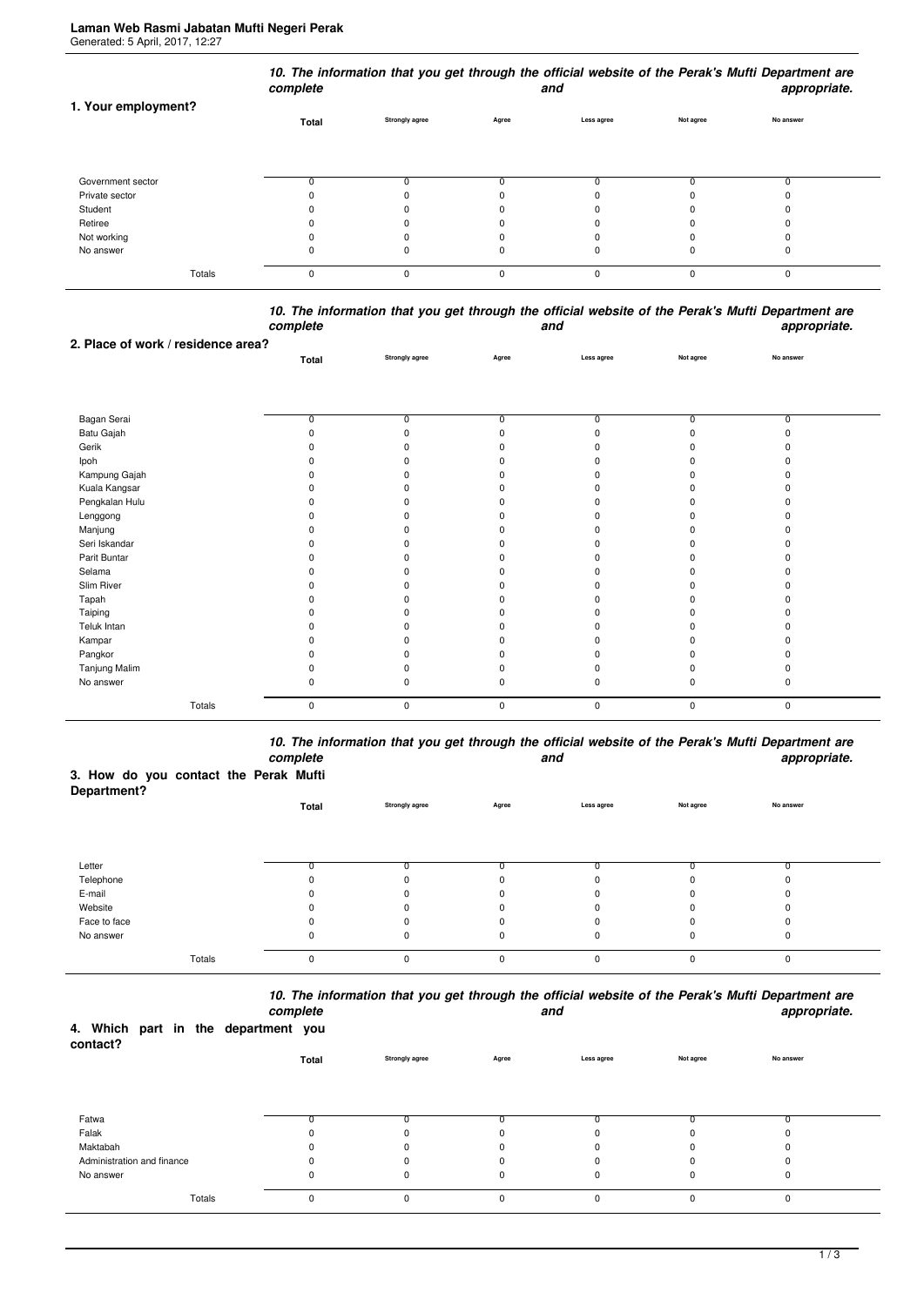| 1. Your employment? | complete |                       |          | and        |           | 10. The information that you get through the official website of the Perak's Mufti Department are<br>appropriate. |
|---------------------|----------|-----------------------|----------|------------|-----------|-------------------------------------------------------------------------------------------------------------------|
|                     | Total    | <b>Strongly agree</b> | Agree    | Less agree | Not agree | No answer                                                                                                         |
| Government sector   |          |                       |          |            |           |                                                                                                                   |
| Private sector      |          |                       |          |            |           |                                                                                                                   |
| Student             |          |                       |          |            |           |                                                                                                                   |
| Retiree             |          |                       |          |            |           |                                                                                                                   |
| Not working         |          |                       |          | 0          |           |                                                                                                                   |
| No answer           |          |                       |          | 0          |           |                                                                                                                   |
| Totals              | 0        | $\Omega$              | $\Omega$ | $\Omega$   | $\Omega$  | $\mathbf 0$                                                                                                       |

*10. The information that you get through the official website of the Perak's Mufti Department are complete and appropriate.*

| 2. Place of work / residence area? |          |                |              |             |                |                |  |
|------------------------------------|----------|----------------|--------------|-------------|----------------|----------------|--|
|                                    | Total    | Strongly agree | Agree        | Less agree  | Not agree      | No answer      |  |
|                                    |          |                |              |             |                |                |  |
|                                    |          |                |              |             |                |                |  |
|                                    |          |                |              |             |                |                |  |
| Bagan Serai                        | 0        | 0              | 0            | 0           | $\overline{0}$ | $\overline{0}$ |  |
| Batu Gajah                         | $\Omega$ | $\Omega$       |              |             | $\Omega$       |                |  |
| Gerik                              |          | ŋ              |              |             |                |                |  |
| Ipoh                               |          | <sup>0</sup>   |              |             |                |                |  |
| Kampung Gajah                      |          | ŋ              |              |             |                |                |  |
| Kuala Kangsar                      |          | 0              |              |             |                |                |  |
| Pengkalan Hulu                     |          | n              |              |             |                |                |  |
| Lenggong                           |          | n              |              |             |                |                |  |
| Manjung                            |          | ŋ              |              |             |                |                |  |
| Seri Iskandar                      |          |                |              |             |                |                |  |
| Parit Buntar                       |          | ŋ              |              |             |                |                |  |
| Selama                             |          | n              |              |             |                |                |  |
| Slim River                         |          | ŋ              |              |             |                |                |  |
| Tapah                              |          |                |              |             |                |                |  |
| Taiping                            |          | ŋ              |              |             |                |                |  |
| Teluk Intan                        |          | n              |              |             |                |                |  |
| Kampar                             |          | n              |              |             |                |                |  |
| Pangkor                            |          | ŋ              |              |             |                |                |  |
| Tanjung Malim                      |          |                |              |             |                |                |  |
| No answer                          | 0        | $\Omega$       | <sup>n</sup> | ŋ           | $\Omega$       |                |  |
| Totals                             | 0        | 0              | $\pmb{0}$    | $\mathbf 0$ | $\mathbf 0$    | 0              |  |

*10. The information that you get through the official website of the Perak's Mufti Department are complete and appropriate.*

## **3. How do you contact the Perak Mufti**

| Department?  |          |                       |              |            |           |           |  |
|--------------|----------|-----------------------|--------------|------------|-----------|-----------|--|
|              | Total    | <b>Strongly agree</b> | Agree        | Less agree | Not agree | No answer |  |
|              |          |                       |              |            |           |           |  |
|              |          |                       |              |            |           |           |  |
|              |          |                       |              |            |           |           |  |
| Letter       |          |                       |              | r          |           |           |  |
| Telephone    |          | 0                     | 0            | 0          | 0         |           |  |
| E-mail       |          | 0                     | 0            | 0          | $\Omega$  |           |  |
| Website      |          | $\Omega$              | 0            | 0          | 0         | O         |  |
| Face to face |          | 0                     | 0            | 0          |           |           |  |
| No answer    | U        | 0                     | 0            | 0          | 0         | 0         |  |
|              |          |                       |              |            |           |           |  |
| Totals       | $\Omega$ | 0                     | $\mathbf{0}$ | 0          | $\Omega$  | 0         |  |

*10. The information that you get through the official website of the Perak's Mufti Department are*

|                                                 |        | complete |                |          | and         |           | appropriate. |  |
|-------------------------------------------------|--------|----------|----------------|----------|-------------|-----------|--------------|--|
| 4. Which part in the department you<br>contact? |        |          |                |          |             |           |              |  |
|                                                 |        | Total    | Strongly agree | Agree    | Less agree  | Not agree | No answer    |  |
| Fatwa                                           |        | 0        |                |          |             |           |              |  |
| Falak                                           |        | 0        |                | ŋ        |             |           |              |  |
| Maktabah                                        |        | 0        |                | $\Omega$ |             | O         |              |  |
| Administration and finance                      |        | 0        |                | ŋ        |             |           |              |  |
| No answer                                       |        | 0        | 0              | 0        | 0           | $\Omega$  | $\Omega$     |  |
|                                                 | Totals | 0        | 0              | $\Omega$ | $\mathbf 0$ | $\Omega$  | $\Omega$     |  |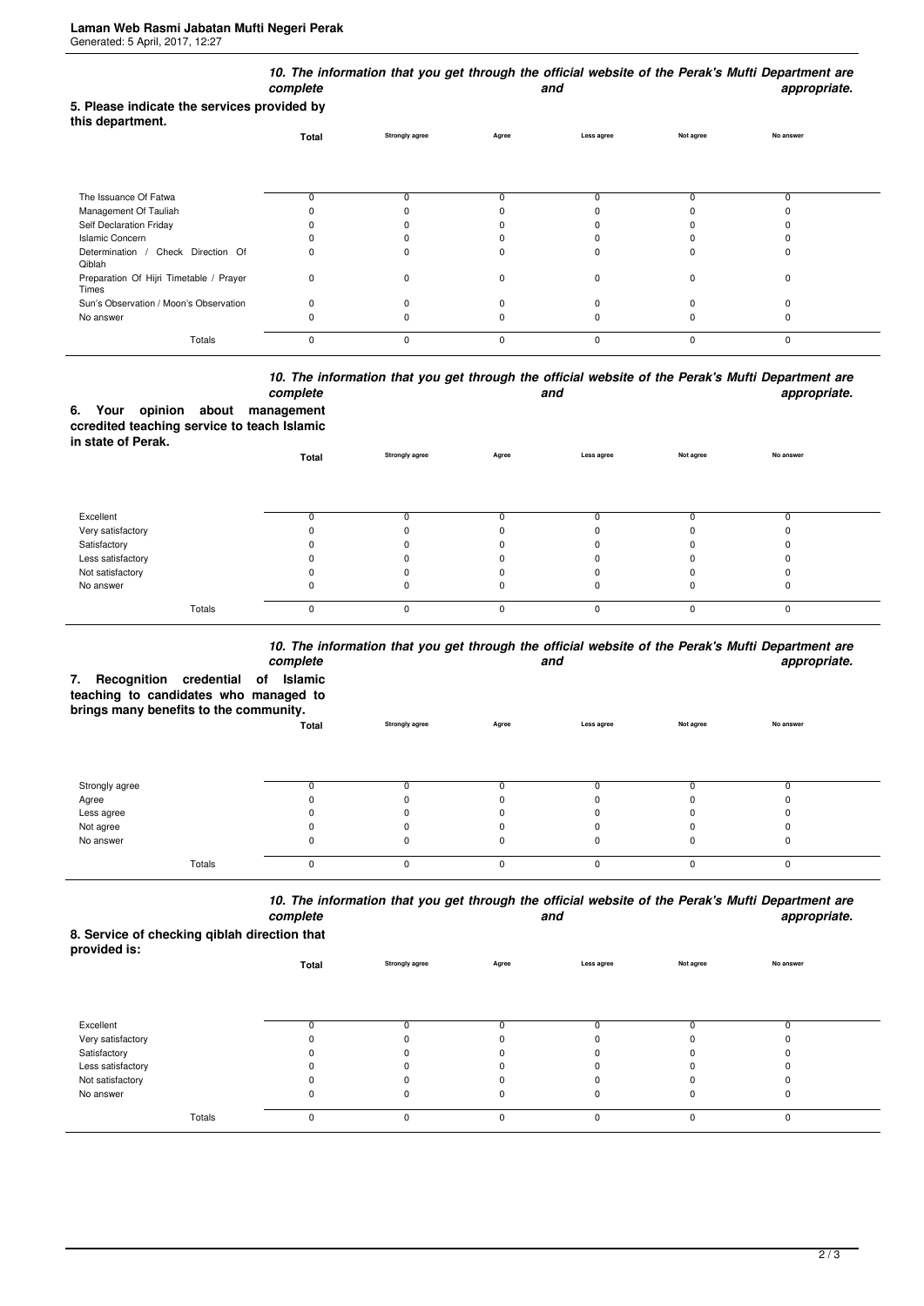|                                                                 | complete |                       |       | and         |             | 10. The information that you get through the official website of the Perak's Mufti Department are<br>appropriate. |  |
|-----------------------------------------------------------------|----------|-----------------------|-------|-------------|-------------|-------------------------------------------------------------------------------------------------------------------|--|
| 5. Please indicate the services provided by<br>this department. |          |                       |       |             |             |                                                                                                                   |  |
|                                                                 | Total    | <b>Strongly agree</b> | Agree | Less agree  | Not agree   | No answer                                                                                                         |  |
|                                                                 |          |                       |       |             |             |                                                                                                                   |  |
| The Issuance Of Fatwa                                           | 0        |                       |       |             |             | ŋ                                                                                                                 |  |
| Management Of Tauliah                                           |          |                       |       |             |             |                                                                                                                   |  |
| Self Declaration Friday                                         |          |                       |       |             |             |                                                                                                                   |  |
| <b>Islamic Concern</b>                                          |          |                       |       |             |             |                                                                                                                   |  |
| Determination / Check Direction Of<br>Qiblah                    | 0        |                       |       |             |             |                                                                                                                   |  |
| Preparation Of Hijri Timetable / Prayer<br>Times                | 0        | $\Omega$              |       | 0           | $\Omega$    | ŋ                                                                                                                 |  |
| Sun's Observation / Moon's Observation                          | 0        |                       |       |             |             |                                                                                                                   |  |
| No answer                                                       | 0        |                       |       |             |             |                                                                                                                   |  |
| Totals                                                          | 0        | 0                     | 0     | $\mathbf 0$ | $\mathbf 0$ | $\mathbf 0$                                                                                                       |  |

## *10. The information that you get through the official website of the Perak's Mufti Department are* **and** and **appropriate.**

|                    |  | complete                                    |
|--------------------|--|---------------------------------------------|
|                    |  | 6. Your opinion about management            |
|                    |  | ccredited teaching service to teach Islamic |
| in state of Perak. |  |                                             |

| <b> .</b> .       | Total | Strongly agree | Agree | Less agree | Not agree | No answer |  |
|-------------------|-------|----------------|-------|------------|-----------|-----------|--|
|                   |       |                |       |            |           |           |  |
| Excellent         |       |                |       |            |           |           |  |
| Very satisfactory |       |                |       |            |           |           |  |
| Satisfactory      |       |                |       |            |           |           |  |
| Less satisfactory |       |                |       |            |           |           |  |
| Not satisfactory  |       |                |       |            |           |           |  |
| No answer         |       |                |       |            | 0         |           |  |
| Totals            |       |                |       |            |           |           |  |

## *10. The information that you get through the official website of the Perak's Mufti Department are*

| Recognition credential of Islamic<br>7.<br>teaching to candidates who managed to<br>brings many benefits to the community. | complete |                       | iv. The imeninguou and you got an ought are onnoist website of and I clan 3 marti Department are<br>and |            |           |           |  |
|----------------------------------------------------------------------------------------------------------------------------|----------|-----------------------|---------------------------------------------------------------------------------------------------------|------------|-----------|-----------|--|
|                                                                                                                            | Total    | <b>Strongly agree</b> | Agree                                                                                                   | Less agree | Not agree | No answer |  |
|                                                                                                                            |          |                       |                                                                                                         |            |           |           |  |
| Strongly agree                                                                                                             |          |                       |                                                                                                         |            |           |           |  |
| Agree                                                                                                                      |          |                       |                                                                                                         |            |           |           |  |
| Less agree                                                                                                                 |          |                       |                                                                                                         |            |           |           |  |
| Not agree                                                                                                                  |          |                       |                                                                                                         |            |           |           |  |
| No answer                                                                                                                  |          |                       |                                                                                                         |            |           |           |  |
| Totals                                                                                                                     |          | ŋ                     | $\Omega$                                                                                                | $\Omega$   |           | $\Omega$  |  |

*10. The information that you get through the official website of the Perak's Mufti Department are complete and appropriate.*

**8. Service of checking qiblah direction that provided is:**

| provided is.      | Total | Strongly agree | Agree    | Less agree | Not agree | No answer |  |
|-------------------|-------|----------------|----------|------------|-----------|-----------|--|
|                   |       |                |          |            |           |           |  |
| Excellent         |       |                |          |            |           |           |  |
| Very satisfactory |       | $\Omega$       |          |            |           |           |  |
| Satisfactory      |       | ŋ              |          |            |           |           |  |
| Less satisfactory |       |                |          |            |           |           |  |
| Not satisfactory  |       |                |          |            |           |           |  |
| No answer         | 0     | 0              |          | 0          | 0         | υ         |  |
| Totals            | 0     | 0              | $\Omega$ | $\Omega$   | $\Omega$  | 0         |  |